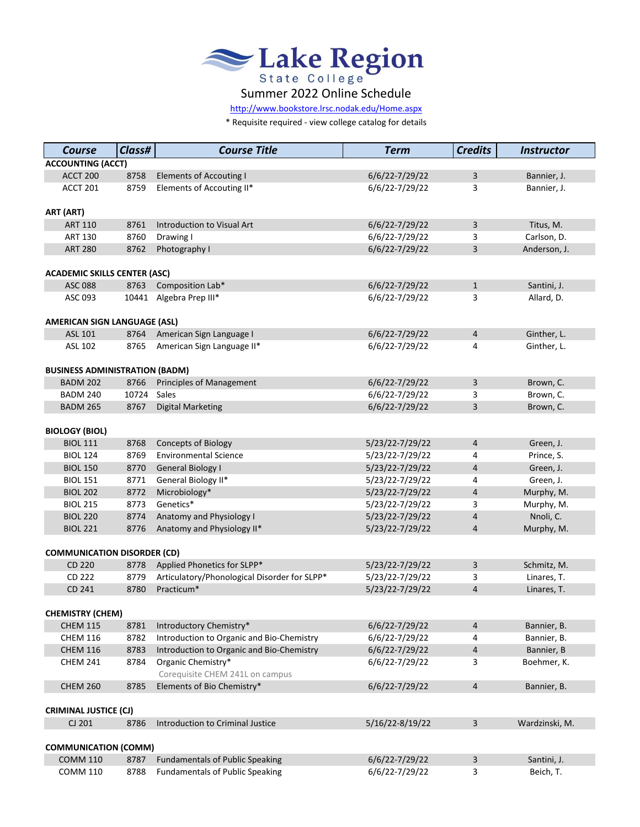

[http://www.bookstore.lrsc.no](http://www.bookstore.lrsc.nodak.edu/Home.aspx)dak.edu/Home.aspx

\* Requisite required - view college catalog for details

| <b>Course</b>                              | Class# | <b>Course Title</b>                                   | <b>Term</b>        | <b>Credits</b> | <b>Instructor</b> |
|--------------------------------------------|--------|-------------------------------------------------------|--------------------|----------------|-------------------|
| <b>ACCOUNTING (ACCT)</b>                   |        |                                                       |                    |                |                   |
| ACCT 200                                   | 8758   | <b>Elements of Accouting I</b>                        | $6/6/22 - 7/29/22$ | $\mathbf{3}$   | Bannier, J.       |
| ACCT 201                                   | 8759   | Elements of Accouting II*                             | 6/6/22-7/29/22     | 3              | Bannier, J.       |
| ART (ART)                                  |        |                                                       |                    |                |                   |
| <b>ART 110</b>                             | 8761   | <b>Introduction to Visual Art</b>                     | $6/6/22 - 7/29/22$ | $\overline{3}$ | Titus, M.         |
| <b>ART 130</b>                             | 8760   | Drawing I                                             | 6/6/22-7/29/22     | 3              | Carlson, D.       |
| <b>ART 280</b>                             | 8762   | Photography I                                         | $6/6/22 - 7/29/22$ | 3              | Anderson, J.      |
| <b>ACADEMIC SKILLS CENTER (ASC)</b>        |        |                                                       |                    |                |                   |
| <b>ASC 088</b>                             | 8763   | Composition Lab*                                      | $6/6/22 - 7/29/22$ | $\mathbf{1}$   | Santini, J.       |
| ASC 093                                    | 10441  | Algebra Prep III*                                     | 6/6/22-7/29/22     | 3              | Allard, D.        |
| <b>AMERICAN SIGN LANGUAGE (ASL)</b>        |        |                                                       |                    |                |                   |
| <b>ASL 101</b>                             | 8764   | American Sign Language I                              | $6/6/22 - 7/29/22$ | $\overline{a}$ | Ginther, L.       |
| <b>ASL 102</b>                             | 8765   | American Sign Language II*                            | 6/6/22-7/29/22     | 4              | Ginther, L.       |
|                                            |        |                                                       |                    |                |                   |
| <b>BUSINESS ADMINISTRATION (BADM)</b>      |        |                                                       |                    |                |                   |
| <b>BADM 202</b>                            | 8766   | <b>Principles of Management</b>                       | $6/6/22 - 7/29/22$ | 3              | Brown, C.         |
| <b>BADM 240</b>                            | 10724  | Sales                                                 | 6/6/22-7/29/22     | 3              | Brown, C.         |
| <b>BADM 265</b>                            | 8767   | <b>Digital Marketing</b>                              | 6/6/22-7/29/22     | 3              | Brown, C.         |
| <b>BIOLOGY (BIOL)</b>                      |        |                                                       |                    |                |                   |
| <b>BIOL 111</b>                            | 8768   | <b>Concepts of Biology</b>                            | 5/23/22-7/29/22    | 4              | Green, J.         |
| <b>BIOL 124</b>                            | 8769   | <b>Environmental Science</b>                          | 5/23/22-7/29/22    | 4              | Prince, S.        |
| <b>BIOL 150</b>                            | 8770   | <b>General Biology I</b>                              | 5/23/22-7/29/22    | $\overline{4}$ | Green, J.         |
| <b>BIOL 151</b>                            | 8771   | General Biology II*                                   | 5/23/22-7/29/22    | 4              | Green, J.         |
| <b>BIOL 202</b>                            | 8772   | Microbiology*                                         | 5/23/22-7/29/22    | $\overline{4}$ | Murphy, M.        |
| <b>BIOL 215</b>                            | 8773   | Genetics*                                             | 5/23/22-7/29/22    | 3              | Murphy, M.        |
| <b>BIOL 220</b>                            | 8774   | Anatomy and Physiology I                              | 5/23/22-7/29/22    | 4              | Nnoli, C.         |
| <b>BIOL 221</b>                            | 8776   | Anatomy and Physiology II*                            | 5/23/22-7/29/22    | $\overline{4}$ | Murphy, M.        |
| <b>COMMUNICATION DISORDER (CD)</b>         |        |                                                       |                    |                |                   |
| CD 220                                     | 8778   | Applied Phonetics for SLPP*                           | 5/23/22-7/29/22    | 3              | Schmitz, M.       |
| CD 222                                     | 8779   | Articulatory/Phonological Disorder for SLPP*          | 5/23/22-7/29/22    | 3              | Linares, T.       |
| CD 241                                     | 8780   | Practicum*                                            | 5/23/22-7/29/22    | $\overline{4}$ | Linares, T.       |
|                                            |        |                                                       |                    |                |                   |
| <b>CHEMISTRY (CHEM)</b><br><b>CHEM 115</b> |        | Introductory Chemistry*                               |                    |                | Bannier, B.       |
|                                            | 8781   |                                                       | $6/6/22 - 7/29/22$ | 4              |                   |
| <b>CHEM 116</b>                            | 8782   | Introduction to Organic and Bio-Chemistry             | 6/6/22-7/29/22     | 4              | Bannier, B.       |
| <b>CHEM 116</b>                            | 8783   | Introduction to Organic and Bio-Chemistry             | $6/6/22 - 7/29/22$ | $\overline{4}$ | Bannier, B        |
| <b>CHEM 241</b>                            | 8784   | Organic Chemistry*<br>Corequisite CHEM 241L on campus | 6/6/22-7/29/22     | 3              | Boehmer, K.       |
| <b>CHEM 260</b>                            | 8785   | Elements of Bio Chemistry*                            | $6/6/22 - 7/29/22$ | 4              | Bannier, B.       |
| <b>CRIMINAL JUSTICE (CJ)</b>               |        |                                                       |                    |                |                   |
| CJ 201                                     | 8786   | Introduction to Criminal Justice                      | 5/16/22-8/19/22    | $\overline{3}$ | Wardzinski, M.    |
|                                            |        |                                                       |                    |                |                   |
| <b>COMMUNICATION (COMM)</b>                |        |                                                       |                    |                |                   |
| <b>COMM 110</b>                            | 8787   | <b>Fundamentals of Public Speaking</b>                | $6/6/22 - 7/29/22$ | $\mathsf{3}$   | Santini, J.       |
| <b>COMM 110</b>                            | 8788   | <b>Fundamentals of Public Speaking</b>                | 6/6/22-7/29/22     | 3              | Beich, T.         |